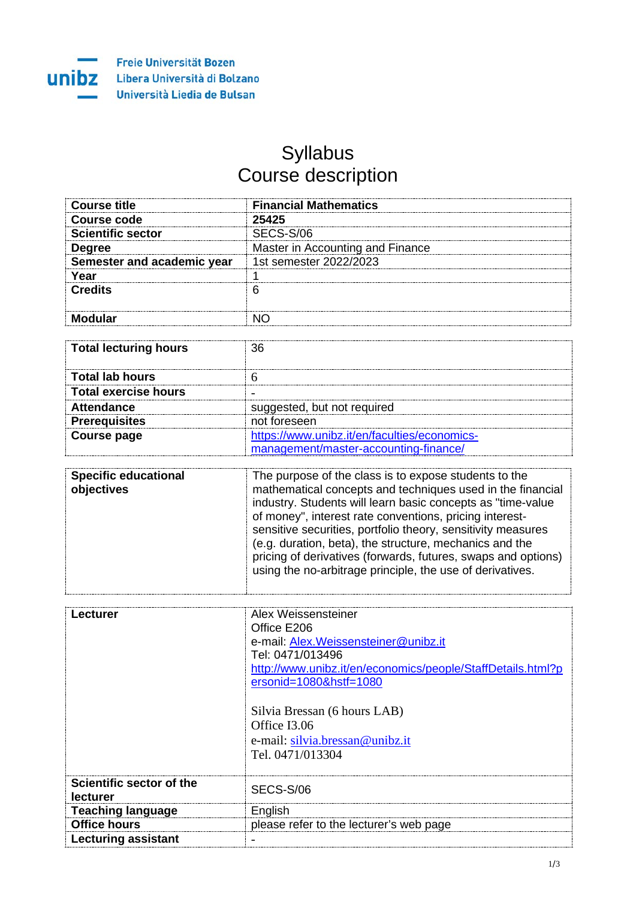## Syllabus Course description

| Course title               | <b>Financial Mathematics</b>     |
|----------------------------|----------------------------------|
| Course code                | 25425                            |
| <b>Scientific sector</b>   | SECS-S/06                        |
| <b>Degree</b>              | Master in Accounting and Finance |
| Semester and academic year | 1st semester 2022/2023           |
| Yeaı                       |                                  |
| Credits                    |                                  |
|                            |                                  |

| <b>Total lecturing hours</b> | 36                                           |
|------------------------------|----------------------------------------------|
| <b>Total lab hours</b>       |                                              |
| Total exercise hours         |                                              |
| <b>Attendance</b>            | suggested, but not required                  |
| <b>Prerequisites</b>         | not foreseen                                 |
| <b>Course page</b>           | https://www.unibz.it/en/faculties/economics- |
|                              | management/master-accounting-finance/        |

| <b>Specific educational</b><br>objectives | The purpose of the class is to expose students to the<br>mathematical concepts and techniques used in the financial<br>industry. Students will learn basic concepts as "time-value<br>of money", interest rate conventions, pricing interest-<br>sensitive securities, portfolio theory, sensitivity measures<br>(e.g. duration, beta), the structure, mechanics and the<br>pricing of derivatives (forwards, futures, swaps and options)<br>using the no-arbitrage principle, the use of derivatives. |
|-------------------------------------------|--------------------------------------------------------------------------------------------------------------------------------------------------------------------------------------------------------------------------------------------------------------------------------------------------------------------------------------------------------------------------------------------------------------------------------------------------------------------------------------------------------|
|-------------------------------------------|--------------------------------------------------------------------------------------------------------------------------------------------------------------------------------------------------------------------------------------------------------------------------------------------------------------------------------------------------------------------------------------------------------------------------------------------------------------------------------------------------------|

| Alex Weissensteiner                                         |
|-------------------------------------------------------------|
| Office E206                                                 |
| e-mail: Alex. Weissensteiner@unibz.it                       |
| Tel: 0471/013496                                            |
|                                                             |
| http://www.unibz.it/en/economics/people/StaffDetails.html?p |
| ersonid=1080&hstf=1080                                      |
|                                                             |
| Silvia Bressan (6 hours LAB)                                |
| Office I3.06                                                |
| e-mail: silvia.bressan@unibz.it                             |
|                                                             |
| Tel. 0471/013304                                            |
|                                                             |
| SECS-S/06                                                   |
|                                                             |
| English                                                     |
| please refer to the lecturer's web page                     |
|                                                             |
|                                                             |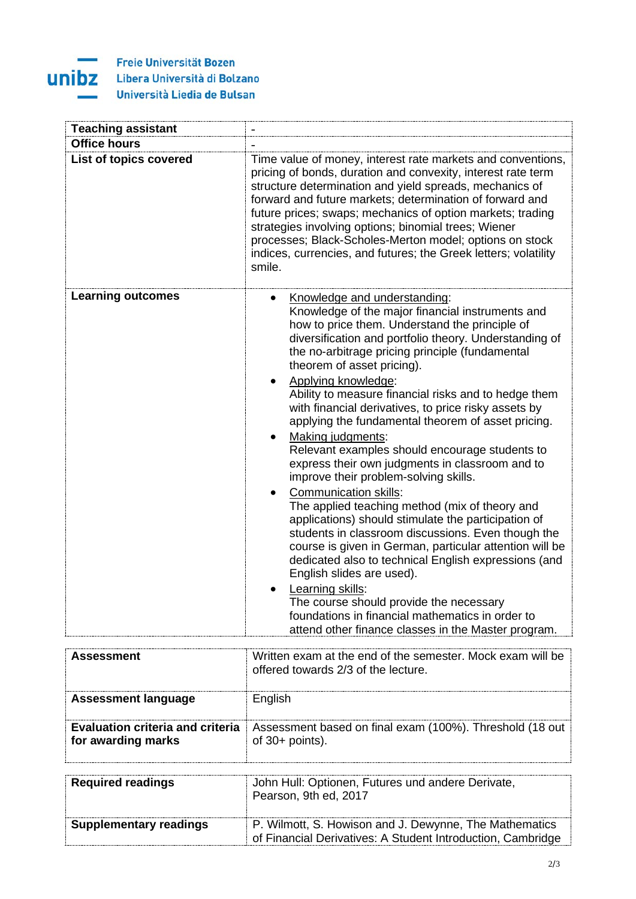

| <b>Teaching assistant</b> |                                                                                                                                                                                                                                                                                                                                                                                                                                                                                                                                                                                                                                                                                                                                                                                                                                                                                                                                                                                                                                                                                                                                                                        |
|---------------------------|------------------------------------------------------------------------------------------------------------------------------------------------------------------------------------------------------------------------------------------------------------------------------------------------------------------------------------------------------------------------------------------------------------------------------------------------------------------------------------------------------------------------------------------------------------------------------------------------------------------------------------------------------------------------------------------------------------------------------------------------------------------------------------------------------------------------------------------------------------------------------------------------------------------------------------------------------------------------------------------------------------------------------------------------------------------------------------------------------------------------------------------------------------------------|
| <b>Office hours</b>       |                                                                                                                                                                                                                                                                                                                                                                                                                                                                                                                                                                                                                                                                                                                                                                                                                                                                                                                                                                                                                                                                                                                                                                        |
| List of topics covered    | Time value of money, interest rate markets and conventions,<br>pricing of bonds, duration and convexity, interest rate term<br>structure determination and yield spreads, mechanics of<br>forward and future markets; determination of forward and<br>future prices; swaps; mechanics of option markets; trading<br>strategies involving options; binomial trees; Wiener<br>processes; Black-Scholes-Merton model; options on stock<br>indices, currencies, and futures; the Greek letters; volatility<br>smile.                                                                                                                                                                                                                                                                                                                                                                                                                                                                                                                                                                                                                                                       |
| <b>Learning outcomes</b>  | Knowledge and understanding:<br>Knowledge of the major financial instruments and<br>how to price them. Understand the principle of<br>diversification and portfolio theory. Understanding of<br>the no-arbitrage pricing principle (fundamental<br>theorem of asset pricing).<br>Applying knowledge:<br>Ability to measure financial risks and to hedge them<br>with financial derivatives, to price risky assets by<br>applying the fundamental theorem of asset pricing.<br>Making judgments:<br>Relevant examples should encourage students to<br>express their own judgments in classroom and to<br>improve their problem-solving skills.<br><b>Communication skills:</b><br>The applied teaching method (mix of theory and<br>applications) should stimulate the participation of<br>students in classroom discussions. Even though the<br>course is given in German, particular attention will be<br>dedicated also to technical English expressions (and<br>English slides are used).<br>Learning skills:<br>The course should provide the necessary<br>foundations in financial mathematics in order to<br>attend other finance classes in the Master program. |

| <b>Assessment</b>                                             | Written exam at the end of the semester. Mock exam will be<br>offered towards 2/3 of the lecture. |
|---------------------------------------------------------------|---------------------------------------------------------------------------------------------------|
| <b>Assessment language</b>                                    | English                                                                                           |
| <b>Evaluation criteria and criteria</b><br>for awarding marks | Assessment based on final exam (100%). Threshold (18 out<br>of $30+$ points).                     |
| <b>Required readings</b>                                      | John Hull: Optionen, Futures und andere Derivate,<br>Pearson, 9th ed, 2017                        |
| <b>Supplementary readings</b>                                 | P. Wilmott, S. Howison and J. Dewynne, The Mathematics                                            |

of Financial Derivatives: A Student Introduction, Cambridge